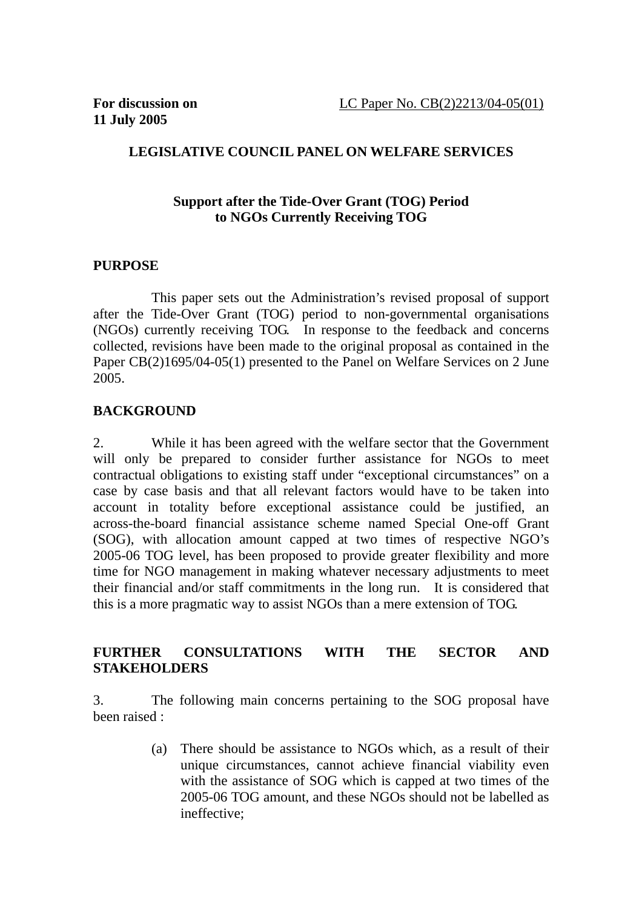# **LEGISLATIVE COUNCIL PANEL ON WELFARE SERVICES**

## **Support after the Tide-Over Grant (TOG) Period to NGOs Currently Receiving TOG**

## **PURPOSE**

 This paper sets out the Administration's revised proposal of support after the Tide-Over Grant (TOG) period to non-governmental organisations (NGOs) currently receiving TOG. In response to the feedback and concerns collected, revisions have been made to the original proposal as contained in the Paper CB(2)1695/04-05(1) presented to the Panel on Welfare Services on 2 June 2005.

# **BACKGROUND**

2. While it has been agreed with the welfare sector that the Government will only be prepared to consider further assistance for NGOs to meet contractual obligations to existing staff under "exceptional circumstances" on a case by case basis and that all relevant factors would have to be taken into account in totality before exceptional assistance could be justified, an across-the-board financial assistance scheme named Special One-off Grant (SOG), with allocation amount capped at two times of respective NGO's 2005-06 TOG level, has been proposed to provide greater flexibility and more time for NGO management in making whatever necessary adjustments to meet their financial and/or staff commitments in the long run. It is considered that this is a more pragmatic way to assist NGOs than a mere extension of TOG.

## **FURTHER CONSULTATIONS WITH THE SECTOR AND STAKEHOLDERS**

3. The following main concerns pertaining to the SOG proposal have been raised :

> (a) There should be assistance to NGOs which, as a result of their unique circumstances, cannot achieve financial viability even with the assistance of SOG which is capped at two times of the 2005-06 TOG amount, and these NGOs should not be labelled as ineffective;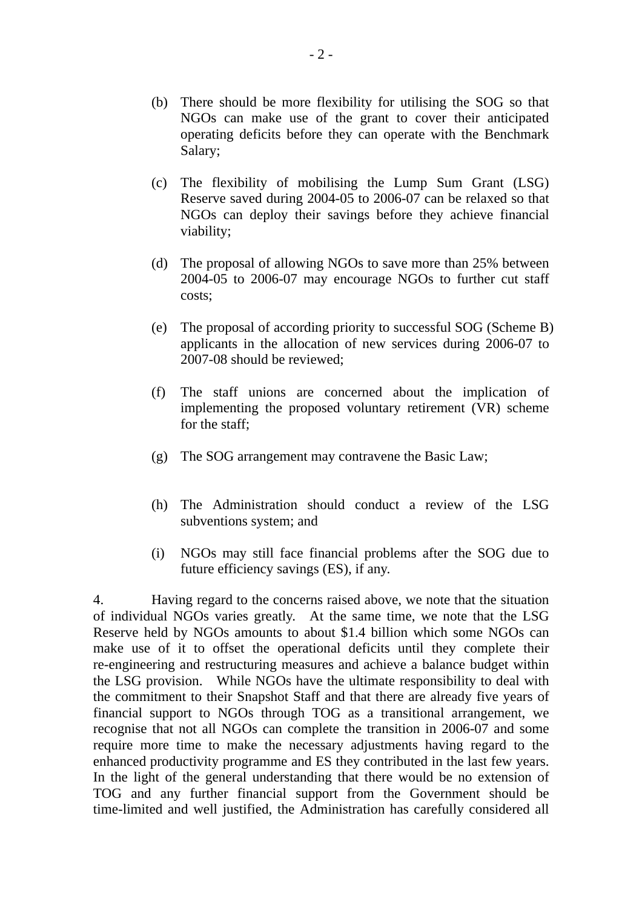- (b) There should be more flexibility for utilising the SOG so that NGOs can make use of the grant to cover their anticipated operating deficits before they can operate with the Benchmark Salary;
- (c) The flexibility of mobilising the Lump Sum Grant (LSG) Reserve saved during 2004-05 to 2006-07 can be relaxed so that NGOs can deploy their savings before they achieve financial viability;
- (d) The proposal of allowing NGOs to save more than 25% between 2004-05 to 2006-07 may encourage NGOs to further cut staff costs;
- (e) The proposal of according priority to successful SOG (Scheme B) applicants in the allocation of new services during 2006-07 to 2007-08 should be reviewed;
- (f) The staff unions are concerned about the implication of implementing the proposed voluntary retirement (VR) scheme for the staff;
- (g) The SOG arrangement may contravene the Basic Law;
- (h) The Administration should conduct a review of the LSG subventions system; and
- (i) NGOs may still face financial problems after the SOG due to future efficiency savings (ES), if any.

4. Having regard to the concerns raised above, we note that the situation of individual NGOs varies greatly. At the same time, we note that the LSG Reserve held by NGOs amounts to about \$1.4 billion which some NGOs can make use of it to offset the operational deficits until they complete their re-engineering and restructuring measures and achieve a balance budget within the LSG provision. While NGOs have the ultimate responsibility to deal with the commitment to their Snapshot Staff and that there are already five years of financial support to NGOs through TOG as a transitional arrangement, we recognise that not all NGOs can complete the transition in 2006-07 and some require more time to make the necessary adjustments having regard to the enhanced productivity programme and ES they contributed in the last few years. In the light of the general understanding that there would be no extension of TOG and any further financial support from the Government should be time-limited and well justified, the Administration has carefully considered all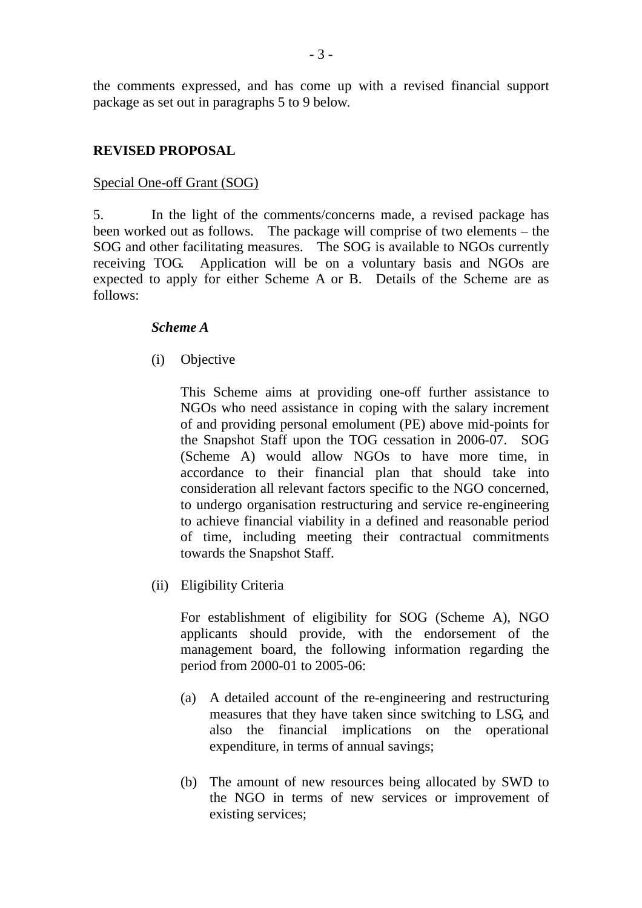the comments expressed, and has come up with a revised financial support package as set out in paragraphs 5 to 9 below.

### **REVISED PROPOSAL**

### Special One-off Grant (SOG)

5. In the light of the comments/concerns made, a revised package has been worked out as follows. The package will comprise of two elements – the SOG and other facilitating measures. The SOG is available to NGOs currently receiving TOG. Application will be on a voluntary basis and NGOs are expected to apply for either Scheme A or B. Details of the Scheme are as follows:

### *Scheme A*

(i) Objective

This Scheme aims at providing one-off further assistance to NGOs who need assistance in coping with the salary increment of and providing personal emolument (PE) above mid-points for the Snapshot Staff upon the TOG cessation in 2006-07. SOG (Scheme A) would allow NGOs to have more time, in accordance to their financial plan that should take into consideration all relevant factors specific to the NGO concerned, to undergo organisation restructuring and service re-engineering to achieve financial viability in a defined and reasonable period of time, including meeting their contractual commitments towards the Snapshot Staff.

(ii) Eligibility Criteria

For establishment of eligibility for SOG (Scheme A), NGO applicants should provide, with the endorsement of the management board, the following information regarding the period from 2000-01 to 2005-06:

- (a) A detailed account of the re-engineering and restructuring measures that they have taken since switching to LSG, and also the financial implications on the operational expenditure, in terms of annual savings;
- (b) The amount of new resources being allocated by SWD to the NGO in terms of new services or improvement of existing services;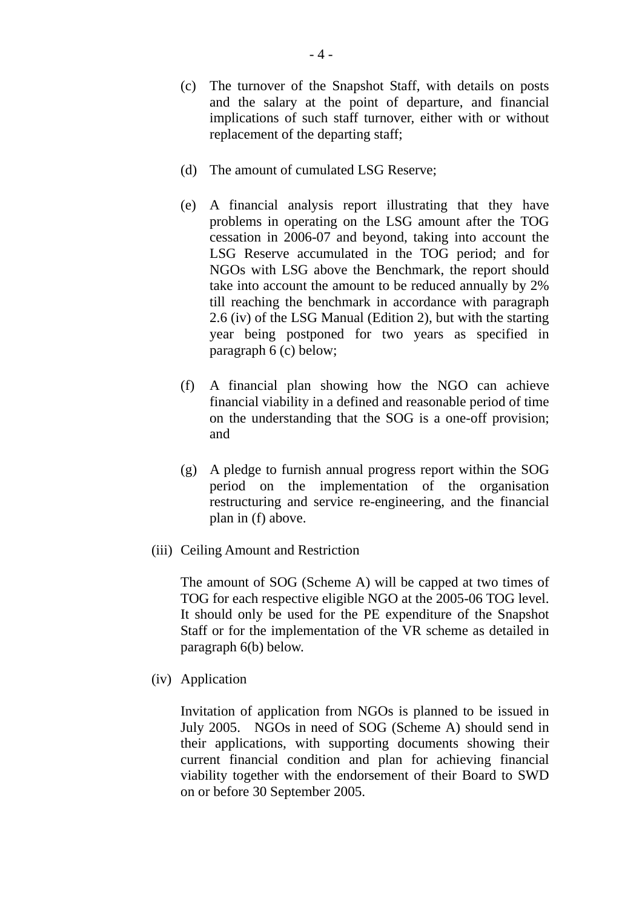- (c) The turnover of the Snapshot Staff, with details on posts and the salary at the point of departure, and financial implications of such staff turnover, either with or without replacement of the departing staff;
- (d) The amount of cumulated LSG Reserve;
- (e) A financial analysis report illustrating that they have problems in operating on the LSG amount after the TOG cessation in 2006-07 and beyond, taking into account the LSG Reserve accumulated in the TOG period; and for NGOs with LSG above the Benchmark, the report should take into account the amount to be reduced annually by 2% till reaching the benchmark in accordance with paragraph 2.6 (iv) of the LSG Manual (Edition 2), but with the starting year being postponed for two years as specified in paragraph 6 (c) below;
- (f) A financial plan showing how the NGO can achieve financial viability in a defined and reasonable period of time on the understanding that the SOG is a one-off provision; and
- (g) A pledge to furnish annual progress report within the SOG period on the implementation of the organisation restructuring and service re-engineering, and the financial plan in (f) above.
- (iii) Ceiling Amount and Restriction

The amount of SOG (Scheme A) will be capped at two times of TOG for each respective eligible NGO at the 2005-06 TOG level. It should only be used for the PE expenditure of the Snapshot Staff or for the implementation of the VR scheme as detailed in paragraph 6(b) below.

(iv) Application

Invitation of application from NGOs is planned to be issued in July 2005. NGOs in need of SOG (Scheme A) should send in their applications, with supporting documents showing their current financial condition and plan for achieving financial viability together with the endorsement of their Board to SWD on or before 30 September 2005.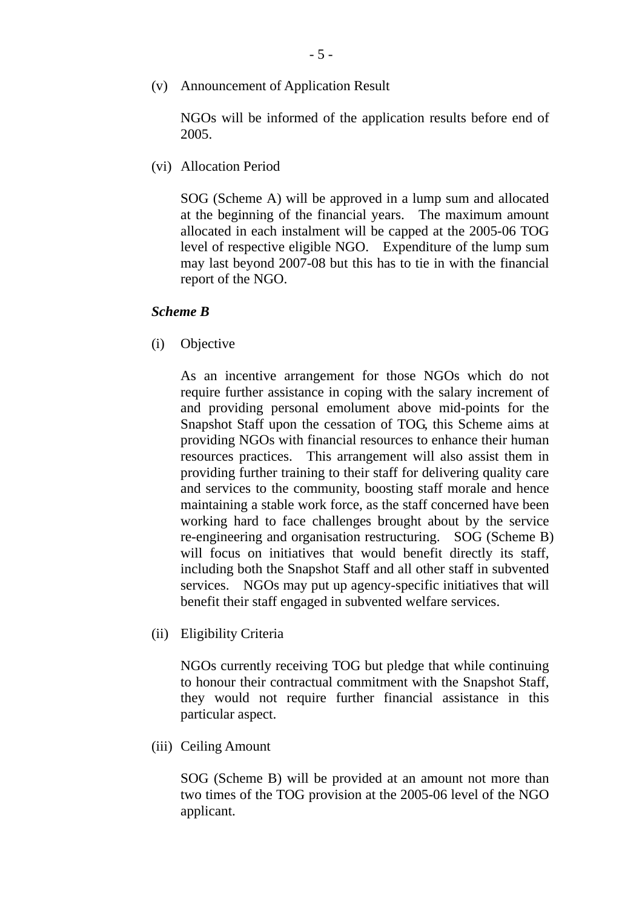(v) Announcement of Application Result

NGOs will be informed of the application results before end of 2005.

(vi) Allocation Period

SOG (Scheme A) will be approved in a lump sum and allocated at the beginning of the financial years. The maximum amount allocated in each instalment will be capped at the 2005-06 TOG level of respective eligible NGO. Expenditure of the lump sum may last beyond 2007-08 but this has to tie in with the financial report of the NGO.

#### *Scheme B*

(i) Objective

As an incentive arrangement for those NGOs which do not require further assistance in coping with the salary increment of and providing personal emolument above mid-points for the Snapshot Staff upon the cessation of TOG, this Scheme aims at providing NGOs with financial resources to enhance their human resources practices. This arrangement will also assist them in providing further training to their staff for delivering quality care and services to the community, boosting staff morale and hence maintaining a stable work force, as the staff concerned have been working hard to face challenges brought about by the service re-engineering and organisation restructuring. SOG (Scheme B) will focus on initiatives that would benefit directly its staff, including both the Snapshot Staff and all other staff in subvented services. NGOs may put up agency-specific initiatives that will benefit their staff engaged in subvented welfare services.

(ii) Eligibility Criteria

NGOs currently receiving TOG but pledge that while continuing to honour their contractual commitment with the Snapshot Staff, they would not require further financial assistance in this particular aspect.

(iii) Ceiling Amount

SOG (Scheme B) will be provided at an amount not more than two times of the TOG provision at the 2005-06 level of the NGO applicant.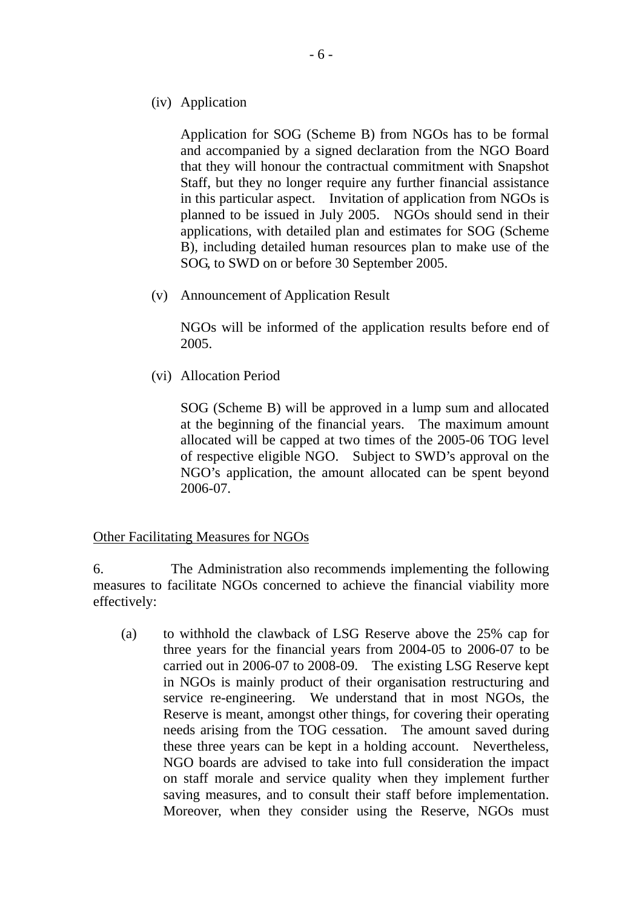(iv) Application

Application for SOG (Scheme B) from NGOs has to be formal and accompanied by a signed declaration from the NGO Board that they will honour the contractual commitment with Snapshot Staff, but they no longer require any further financial assistance in this particular aspect. Invitation of application from NGOs is planned to be issued in July 2005. NGOs should send in their applications, with detailed plan and estimates for SOG (Scheme B), including detailed human resources plan to make use of the SOG, to SWD on or before 30 September 2005.

(v) Announcement of Application Result

NGOs will be informed of the application results before end of 2005.

(vi) Allocation Period

SOG (Scheme B) will be approved in a lump sum and allocated at the beginning of the financial years. The maximum amount allocated will be capped at two times of the 2005-06 TOG level of respective eligible NGO. Subject to SWD's approval on the NGO's application, the amount allocated can be spent beyond 2006-07.

### Other Facilitating Measures for NGOs

6. The Administration also recommends implementing the following measures to facilitate NGOs concerned to achieve the financial viability more effectively:

(a) to withhold the clawback of LSG Reserve above the 25% cap for three years for the financial years from 2004-05 to 2006-07 to be carried out in 2006-07 to 2008-09. The existing LSG Reserve kept in NGOs is mainly product of their organisation restructuring and service re-engineering. We understand that in most NGOs, the Reserve is meant, amongst other things, for covering their operating needs arising from the TOG cessation. The amount saved during these three years can be kept in a holding account. Nevertheless, NGO boards are advised to take into full consideration the impact on staff morale and service quality when they implement further saving measures, and to consult their staff before implementation. Moreover, when they consider using the Reserve, NGOs must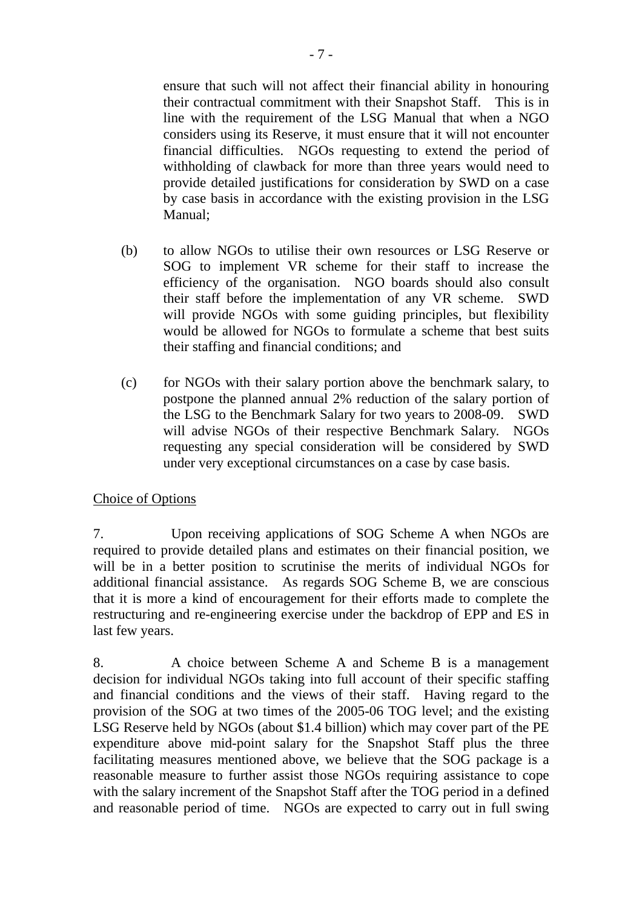ensure that such will not affect their financial ability in honouring their contractual commitment with their Snapshot Staff. This is in line with the requirement of the LSG Manual that when a NGO considers using its Reserve, it must ensure that it will not encounter financial difficulties. NGOs requesting to extend the period of withholding of clawback for more than three years would need to provide detailed justifications for consideration by SWD on a case by case basis in accordance with the existing provision in the LSG Manual;

- (b) to allow NGOs to utilise their own resources or LSG Reserve or SOG to implement VR scheme for their staff to increase the efficiency of the organisation. NGO boards should also consult their staff before the implementation of any VR scheme. SWD will provide NGOs with some guiding principles, but flexibility would be allowed for NGOs to formulate a scheme that best suits their staffing and financial conditions; and
- (c) for NGOs with their salary portion above the benchmark salary, to postpone the planned annual 2% reduction of the salary portion of the LSG to the Benchmark Salary for two years to 2008-09. SWD will advise NGOs of their respective Benchmark Salary. NGOs requesting any special consideration will be considered by SWD under very exceptional circumstances on a case by case basis.

## Choice of Options

7. Upon receiving applications of SOG Scheme A when NGOs are required to provide detailed plans and estimates on their financial position, we will be in a better position to scrutinise the merits of individual NGOs for additional financial assistance. As regards SOG Scheme B, we are conscious that it is more a kind of encouragement for their efforts made to complete the restructuring and re-engineering exercise under the backdrop of EPP and ES in last few years.

8. A choice between Scheme A and Scheme B is a management decision for individual NGOs taking into full account of their specific staffing and financial conditions and the views of their staff. Having regard to the provision of the SOG at two times of the 2005-06 TOG level; and the existing LSG Reserve held by NGOs (about \$1.4 billion) which may cover part of the PE expenditure above mid-point salary for the Snapshot Staff plus the three facilitating measures mentioned above, we believe that the SOG package is a reasonable measure to further assist those NGOs requiring assistance to cope with the salary increment of the Snapshot Staff after the TOG period in a defined and reasonable period of time. NGOs are expected to carry out in full swing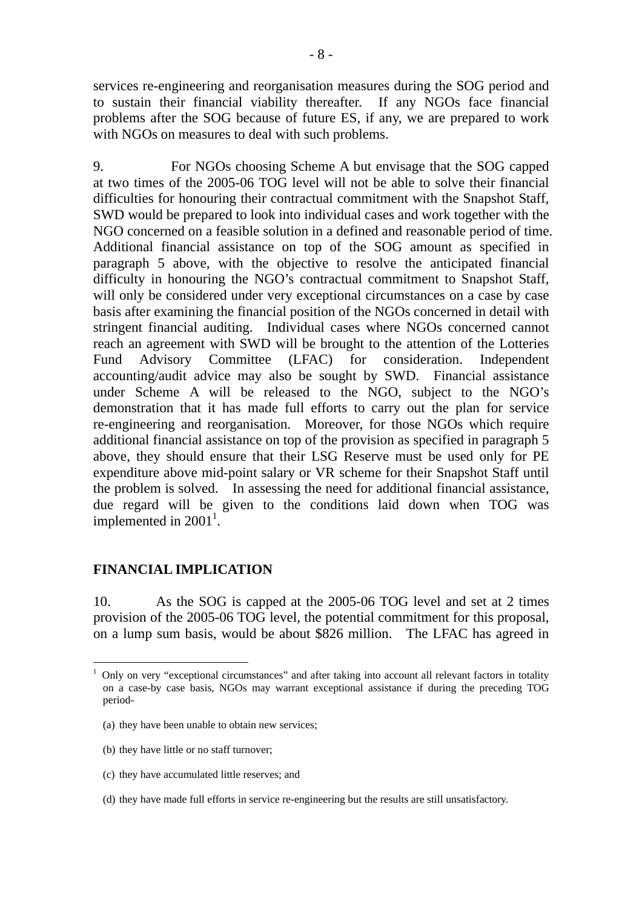services re-engineering and reorganisation measures during the SOG period and to sustain their financial viability thereafter. If any NGOs face financial problems after the SOG because of future ES, if any, we are prepared to work with NGOs on measures to deal with such problems.

9. For NGOs choosing Scheme A but envisage that the SOG capped at two times of the 2005-06 TOG level will not be able to solve their financial difficulties for honouring their contractual commitment with the Snapshot Staff, SWD would be prepared to look into individual cases and work together with the NGO concerned on a feasible solution in a defined and reasonable period of time. Additional financial assistance on top of the SOG amount as specified in paragraph 5 above, with the objective to resolve the anticipated financial difficulty in honouring the NGO's contractual commitment to Snapshot Staff, will only be considered under very exceptional circumstances on a case by case basis after examining the financial position of the NGOs concerned in detail with stringent financial auditing. Individual cases where NGOs concerned cannot reach an agreement with SWD will be brought to the attention of the Lotteries Fund Advisory Committee (LFAC) for consideration. Independent accounting/audit advice may also be sought by SWD. Financial assistance under Scheme A will be released to the NGO, subject to the NGO's demonstration that it has made full efforts to carry out the plan for service re-engineering and reorganisation. Moreover, for those NGOs which require additional financial assistance on top of the provision as specified in paragraph 5 above, they should ensure that their LSG Reserve must be used only for PE expenditure above mid-point salary or VR scheme for their Snapshot Staff until the problem is solved. In assessing the need for additional financial assistance, due regard will be given to the conditions laid down when TOG was implemented in  $2001<sup>1</sup>$ .

### **FINANCIAL IMPLICATION**

l

10. As the SOG is capped at the 2005-06 TOG level and set at 2 times provision of the 2005-06 TOG level, the potential commitment for this proposal, on a lump sum basis, would be about \$826 million. The LFAC has agreed in

- (b) they have little or no staff turnover;
- (c) they have accumulated little reserves; and
- (d) they have made full efforts in service re-engineering but the results are still unsatisfactory.

<sup>&</sup>lt;sup>1</sup> Only on very "exceptional circumstances" and after taking into account all relevant factors in totality on a case-by case basis, NGOs may warrant exceptional assistance if during the preceding TOG period-

<sup>(</sup>a) they have been unable to obtain new services;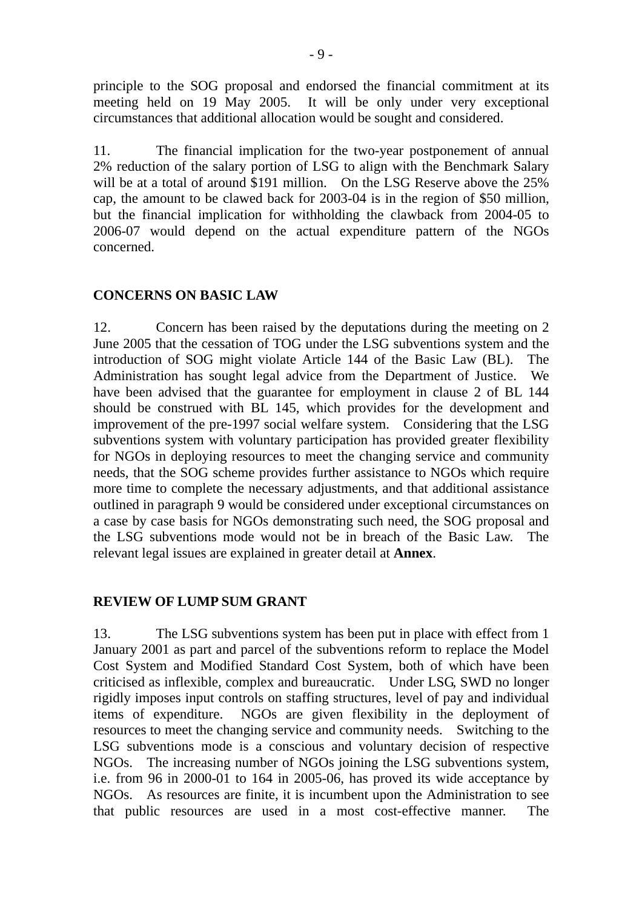principle to the SOG proposal and endorsed the financial commitment at its meeting held on 19 May 2005. It will be only under very exceptional circumstances that additional allocation would be sought and considered.

11. The financial implication for the two-year postponement of annual 2% reduction of the salary portion of LSG to align with the Benchmark Salary will be at a total of around \$191 million. On the LSG Reserve above the 25% cap, the amount to be clawed back for 2003-04 is in the region of \$50 million, but the financial implication for withholding the clawback from 2004-05 to 2006-07 would depend on the actual expenditure pattern of the NGOs concerned.

# **CONCERNS ON BASIC LAW**

12. Concern has been raised by the deputations during the meeting on 2 June 2005 that the cessation of TOG under the LSG subventions system and the introduction of SOG might violate Article 144 of the Basic Law (BL). The Administration has sought legal advice from the Department of Justice. We have been advised that the guarantee for employment in clause 2 of BL 144 should be construed with BL 145, which provides for the development and improvement of the pre-1997 social welfare system. Considering that the LSG subventions system with voluntary participation has provided greater flexibility for NGOs in deploying resources to meet the changing service and community needs, that the SOG scheme provides further assistance to NGOs which require more time to complete the necessary adjustments, and that additional assistance outlined in paragraph 9 would be considered under exceptional circumstances on a case by case basis for NGOs demonstrating such need, the SOG proposal and the LSG subventions mode would not be in breach of the Basic Law. The relevant legal issues are explained in greater detail at **Annex**.

## **REVIEW OF LUMP SUM GRANT**

13. The LSG subventions system has been put in place with effect from 1 January 2001 as part and parcel of the subventions reform to replace the Model Cost System and Modified Standard Cost System, both of which have been criticised as inflexible, complex and bureaucratic. Under LSG, SWD no longer rigidly imposes input controls on staffing structures, level of pay and individual items of expenditure. NGOs are given flexibility in the deployment of resources to meet the changing service and community needs. Switching to the LSG subventions mode is a conscious and voluntary decision of respective NGOs. The increasing number of NGOs joining the LSG subventions system, i.e. from 96 in 2000-01 to 164 in 2005-06, has proved its wide acceptance by NGOs. As resources are finite, it is incumbent upon the Administration to see that public resources are used in a most cost-effective manner. The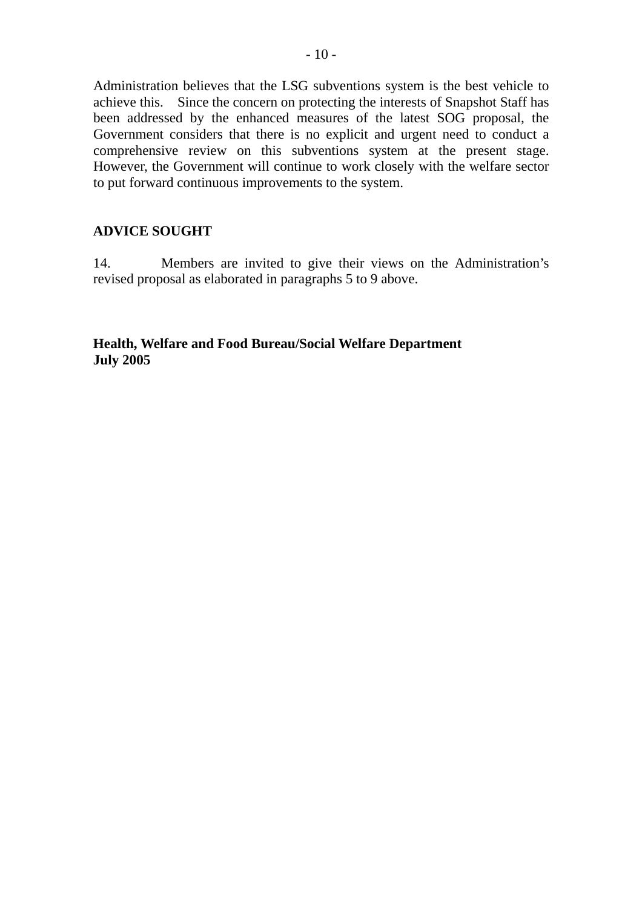Administration believes that the LSG subventions system is the best vehicle to achieve this. Since the concern on protecting the interests of Snapshot Staff has been addressed by the enhanced measures of the latest SOG proposal, the Government considers that there is no explicit and urgent need to conduct a comprehensive review on this subventions system at the present stage. However, the Government will continue to work closely with the welfare sector to put forward continuous improvements to the system.

## **ADVICE SOUGHT**

14. Members are invited to give their views on the Administration's revised proposal as elaborated in paragraphs 5 to 9 above.

**Health, Welfare and Food Bureau/Social Welfare Department July 2005**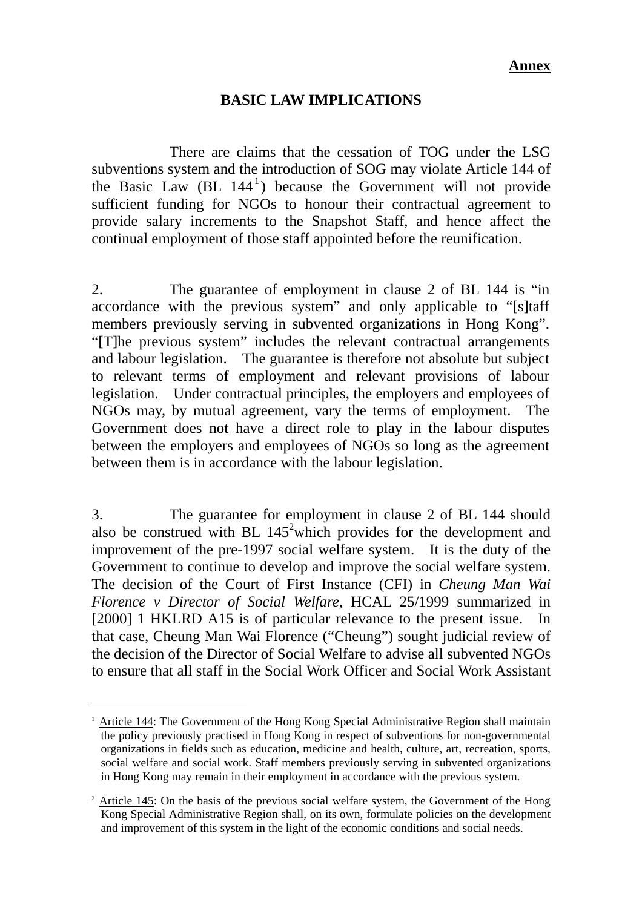## **BASIC LAW IMPLICATIONS**

 There are claims that the cessation of TOG under the LSG subventions system and the introduction of SOG may violate Article 144 of the Basic Law  $(BL 144<sup>1</sup>)$  because the Government will not provide sufficient funding for NGOs to honour their contractual agreement to provide salary increments to the Snapshot Staff, and hence affect the continual employment of those staff appointed before the reunification.

2. The guarantee of employment in clause 2 of BL 144 is "in accordance with the previous system" and only applicable to "[s]taff members previously serving in subvented organizations in Hong Kong". "[T]he previous system" includes the relevant contractual arrangements and labour legislation. The guarantee is therefore not absolute but subject to relevant terms of employment and relevant provisions of labour legislation. Under contractual principles, the employers and employees of NGOs may, by mutual agreement, vary the terms of employment. The Government does not have a direct role to play in the labour disputes between the employers and employees of NGOs so long as the agreement between them is in accordance with the labour legislation.

3. The guarantee for employment in clause 2 of BL 144 should also be construed with BL  $145^2$  which provides for the development and improvement of the pre-1997 social welfare system. It is the duty of the Government to continue to develop and improve the social welfare system. The decision of the Court of First Instance (CFI) in *Cheung Man Wai Florence v Director of Social Welfare*, HCAL 25/1999 summarized in [2000] 1 HKLRD A15 is of particular relevance to the present issue. In that case, Cheung Man Wai Florence ("Cheung") sought judicial review of the decision of the Director of Social Welfare to advise all subvented NGOs to ensure that all staff in the Social Work Officer and Social Work Assistant

<sup>&</sup>lt;sup>1</sup> Article 144: The Government of the Hong Kong Special Administrative Region shall maintain the policy previously practised in Hong Kong in respect of subventions for non-governmental organizations in fields such as education, medicine and health, culture, art, recreation, sports, social welfare and social work. Staff members previously serving in subvented organizations in Hong Kong may remain in their employment in accordance with the previous system.

 $2 \text{ Article } 145$ : On the basis of the previous social welfare system, the Government of the Hong Kong Special Administrative Region shall, on its own, formulate policies on the development and improvement of this system in the light of the economic conditions and social needs.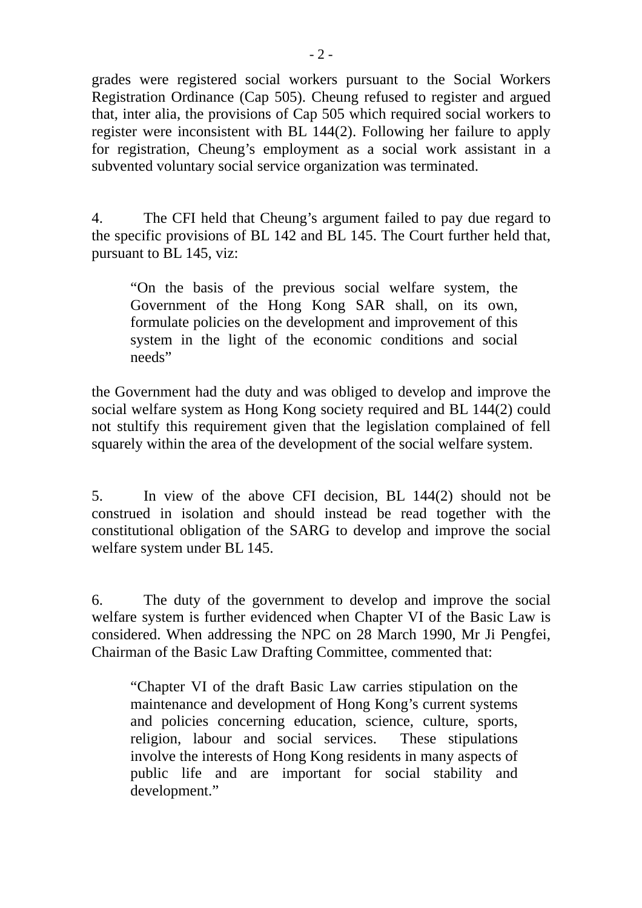grades were registered social workers pursuant to the Social Workers Registration Ordinance (Cap 505). Cheung refused to register and argued that, inter alia, the provisions of Cap 505 which required social workers to register were inconsistent with BL 144(2). Following her failure to apply for registration, Cheung's employment as a social work assistant in a subvented voluntary social service organization was terminated.

4. The CFI held that Cheung's argument failed to pay due regard to the specific provisions of BL 142 and BL 145. The Court further held that, pursuant to BL 145, viz:

"On the basis of the previous social welfare system, the Government of the Hong Kong SAR shall, on its own, formulate policies on the development and improvement of this system in the light of the economic conditions and social needs"

the Government had the duty and was obliged to develop and improve the social welfare system as Hong Kong society required and BL 144(2) could not stultify this requirement given that the legislation complained of fell squarely within the area of the development of the social welfare system.

5. In view of the above CFI decision, BL 144(2) should not be construed in isolation and should instead be read together with the constitutional obligation of the SARG to develop and improve the social welfare system under BL 145.

6. The duty of the government to develop and improve the social welfare system is further evidenced when Chapter VI of the Basic Law is considered. When addressing the NPC on 28 March 1990, Mr Ji Pengfei, Chairman of the Basic Law Drafting Committee, commented that:

"Chapter VI of the draft Basic Law carries stipulation on the maintenance and development of Hong Kong's current systems and policies concerning education, science, culture, sports, religion, labour and social services. These stipulations involve the interests of Hong Kong residents in many aspects of public life and are important for social stability and development."